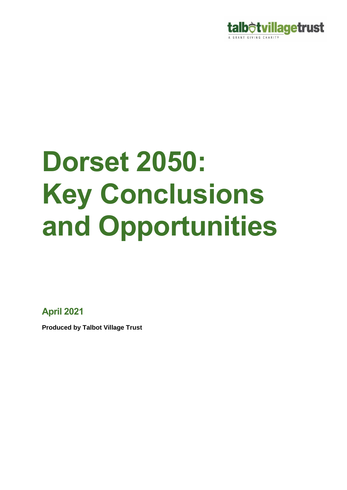

# **Dorset 2050: Key Conclusions and Opportunities**

**April 2021**

**Produced by Talbot Village Trust**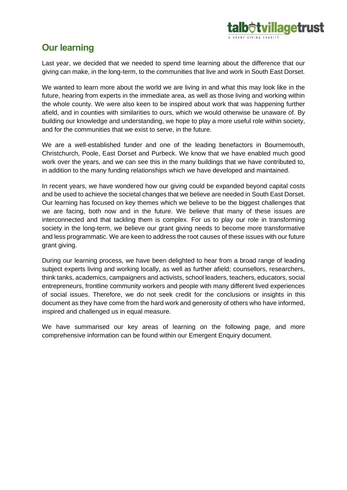

# **Our learning**

Last year, we decided that we needed to spend time learning about the difference that our giving can make, in the long-term, to the communities that live and work in South East Dorset.

We wanted to learn more about the world we are living in and what this may look like in the future, hearing from experts in the immediate area, as well as those living and working within the whole county. We were also keen to be inspired about work that was happening further afield, and in counties with similarities to ours, which we would otherwise be unaware of. By building our knowledge and understanding, we hope to play a more useful role within society, and for the communities that we exist to serve, in the future.

We are a well-established funder and one of the leading benefactors in Bournemouth, Christchurch, Poole, East Dorset and Purbeck. We know that we have enabled much good work over the years, and we can see this in the many buildings that we have contributed to, in addition to the many funding relationships which we have developed and maintained.

In recent years, we have wondered how our giving could be expanded beyond capital costs and be used to achieve the societal changes that we believe are needed in South East Dorset. Our learning has focused on key themes which we believe to be the biggest challenges that we are facing, both now and in the future. We believe that many of these issues are interconnected and that tackling them is complex. For us to play our role in transforming society in the long-term, we believe our grant giving needs to become more transformative and less programmatic. We are keen to address the root causes of these issues with our future grant giving.

During our learning process, we have been delighted to hear from a broad range of leading subject experts living and working locally, as well as further afield; counsellors, researchers, think tanks, academics, campaigners and activists, school leaders, teachers, educators, social entrepreneurs, frontline community workers and people with many different lived experiences of social issues. Therefore, we do not seek credit for the conclusions or insights in this document as they have come from the hard work and generosity of others who have informed, inspired and challenged us in equal measure.

We have summarised our key areas of learning on the following page, and more comprehensive information can be found within our Emergent Enquiry document.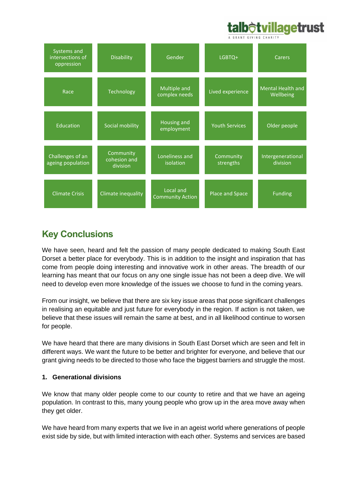# **alb<del>ò</del>tvillagetrust**



# **Key Conclusions**

We have seen, heard and felt the passion of many people dedicated to making South East Dorset a better place for everybody. This is in addition to the insight and inspiration that has come from people doing interesting and innovative work in other areas. The breadth of our learning has meant that our focus on any one single issue has not been a deep dive. We will need to develop even more knowledge of the issues we choose to fund in the coming years.

From our insight, we believe that there are six key issue areas that pose significant challenges in realising an equitable and just future for everybody in the region. If action is not taken, we believe that these issues will remain the same at best, and in all likelihood continue to worsen for people.

We have heard that there are many divisions in South East Dorset which are seen and felt in different ways. We want the future to be better and brighter for everyone, and believe that our grant giving needs to be directed to those who face the biggest barriers and struggle the most.

#### **1. Generational divisions**

We know that many older people come to our county to retire and that we have an ageing population. In contrast to this, many young people who grow up in the area move away when they get older.

We have heard from many experts that we live in an ageist world where generations of people exist side by side, but with limited interaction with each other. Systems and services are based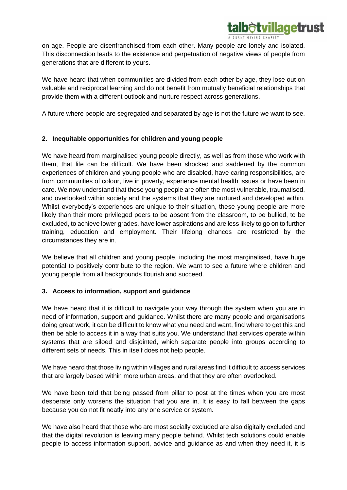on age. People are disenfranchised from each other. Many people are lonely and isolated. This disconnection leads to the existence and perpetuation of negative views of people from generations that are different to yours.

**b<del>ô</del>tvillagetrust** 

We have heard that when communities are divided from each other by age, they lose out on valuable and reciprocal learning and do not benefit from mutually beneficial relationships that provide them with a different outlook and nurture respect across generations.

A future where people are segregated and separated by age is not the future we want to see.

#### **2. Inequitable opportunities for children and young people**

We have heard from marginalised young people directly, as well as from those who work with them, that life can be difficult. We have been shocked and saddened by the common experiences of children and young people who are disabled, have caring responsibilities, are from communities of colour, live in poverty, experience mental health issues or have been in care. We now understand that these young people are often the most vulnerable, traumatised, and overlooked within society and the systems that they are nurtured and developed within. Whilst everybody's experiences are unique to their situation, these young people are more likely than their more privileged peers to be absent from the classroom, to be bullied, to be excluded, to achieve lower grades, have lower aspirations and are less likely to go on to further training, education and employment. Their lifelong chances are restricted by the circumstances they are in.

We believe that all children and young people, including the most marginalised, have huge potential to positively contribute to the region. We want to see a future where children and young people from all backgrounds flourish and succeed.

#### **3. Access to information, support and guidance**

We have heard that it is difficult to navigate your way through the system when you are in need of information, support and guidance. Whilst there are many people and organisations doing great work, it can be difficult to know what you need and want, find where to get this and then be able to access it in a way that suits you. We understand that services operate within systems that are siloed and disjointed, which separate people into groups according to different sets of needs. This in itself does not help people.

We have heard that those living within villages and rural areas find it difficult to access services that are largely based within more urban areas, and that they are often overlooked.

We have been told that being passed from pillar to post at the times when you are most desperate only worsens the situation that you are in. It is easy to fall between the gaps because you do not fit neatly into any one service or system.

We have also heard that those who are most socially excluded are also digitally excluded and that the digital revolution is leaving many people behind. Whilst tech solutions could enable people to access information support, advice and guidance as and when they need it, it is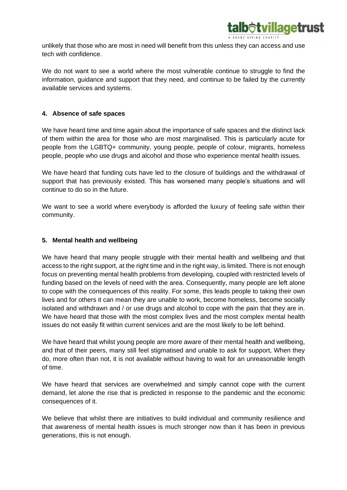

unlikely that those who are most in need will benefit from this unless they can access and use tech with confidence.

We do not want to see a world where the most vulnerable continue to struggle to find the information, guidance and support that they need, and continue to be failed by the currently available services and systems.

#### **4. Absence of safe spaces**

We have heard time and time again about the importance of safe spaces and the distinct lack of them within the area for those who are most marginalised. This is particularly acute for people from the LGBTQ+ community, young people, people of colour, migrants, homeless people, people who use drugs and alcohol and those who experience mental health issues.

We have heard that funding cuts have led to the closure of buildings and the withdrawal of support that has previously existed. This has worsened many people's situations and will continue to do so in the future.

We want to see a world where everybody is afforded the luxury of feeling safe within their community.

#### **5. Mental health and wellbeing**

We have heard that many people struggle with their mental health and wellbeing and that access to the right support, at the right time and in the right way, is limited. There is not enough focus on preventing mental health problems from developing, coupled with restricted levels of funding based on the levels of need with the area. Consequently, many people are left alone to cope with the consequences of this reality. For some, this leads people to taking their own lives and for others it can mean they are unable to work, become homeless, become socially isolated and withdrawn and / or use drugs and alcohol to cope with the pain that they are in. We have heard that those with the most complex lives and the most complex mental health issues do not easily fit within current services and are the most likely to be left behind.

We have heard that whilst young people are more aware of their mental health and wellbeing, and that of their peers, many still feel stigmatised and unable to ask for support, When they do, more often than not, it is not available without having to wait for an unreasonable length of time.

We have heard that services are overwhelmed and simply cannot cope with the current demand, let alone the rise that is predicted in response to the pandemic and the economic consequences of it.

We believe that whilst there are initiatives to build individual and community resilience and that awareness of mental health issues is much stronger now than it has been in previous generations, this is not enough.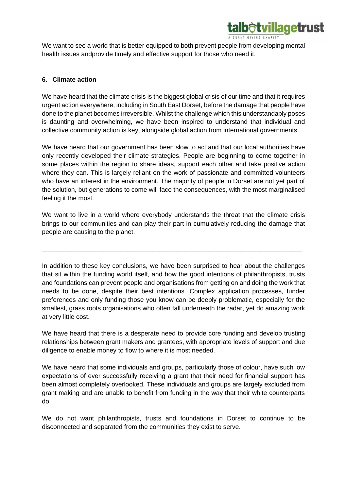

We want to see a world that is better equipped to both prevent people from developing mental health issues andprovide timely and effective support for those who need it.

#### **6. Climate action**

We have heard that the climate crisis is the biggest global crisis of our time and that it requires urgent action everywhere, including in South East Dorset, before the damage that people have done to the planet becomes irreversible. Whilst the challenge which this understandably poses is daunting and overwhelming, we have been inspired to understand that individual and collective community action is key, alongside global action from international governments.

We have heard that our government has been slow to act and that our local authorities have only recently developed their climate strategies. People are beginning to come together in some places within the region to share ideas, support each other and take positive action where they can. This is largely reliant on the work of passionate and committed volunteers who have an interest in the environment. The majority of people in Dorset are not yet part of the solution, but generations to come will face the consequences, with the most marginalised feeling it the most.

We want to live in a world where everybody understands the threat that the climate crisis brings to our communities and can play their part in cumulatively reducing the damage that people are causing to the planet.

\_\_\_\_\_\_\_\_\_\_\_\_\_\_\_\_\_\_\_\_\_\_\_\_\_\_\_\_\_\_\_\_\_\_\_\_\_\_\_\_\_\_\_\_\_\_\_\_\_\_\_\_\_\_\_\_\_\_\_\_\_\_\_\_\_\_\_\_\_\_\_\_\_

In addition to these key conclusions, we have been surprised to hear about the challenges that sit within the funding world itself, and how the good intentions of philanthropists, trusts and foundations can prevent people and organisations from getting on and doing the work that needs to be done, despite their best intentions. Complex application processes, funder preferences and only funding those you know can be deeply problematic, especially for the smallest, grass roots organisations who often fall underneath the radar, yet do amazing work at very little cost.

We have heard that there is a desperate need to provide core funding and develop trusting relationships between grant makers and grantees, with appropriate levels of support and due diligence to enable money to flow to where it is most needed.

We have heard that some individuals and groups, particularly those of colour, have such low expectations of ever successfully receiving a grant that their need for financial support has been almost completely overlooked. These individuals and groups are largely excluded from grant making and are unable to benefit from funding in the way that their white counterparts do.

We do not want philanthropists, trusts and foundations in Dorset to continue to be disconnected and separated from the communities they exist to serve.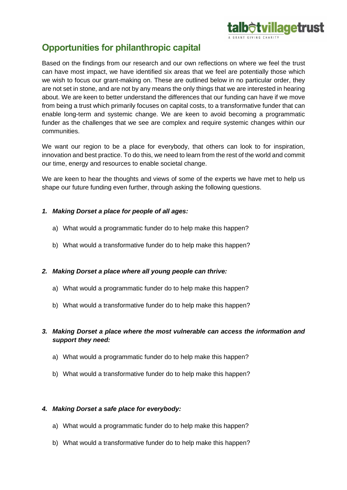

## **Opportunities for philanthropic capital**

Based on the findings from our research and our own reflections on where we feel the trust can have most impact, we have identified six areas that we feel are potentially those which we wish to focus our grant-making on. These are outlined below in no particular order, they are not set in stone, and are not by any means the only things that we are interested in hearing about. We are keen to better understand the differences that our funding can have if we move from being a trust which primarily focuses on capital costs, to a transformative funder that can enable long-term and systemic change. We are keen to avoid becoming a programmatic funder as the challenges that we see are complex and require systemic changes within our communities.

We want our region to be a place for everybody, that others can look to for inspiration, innovation and best practice. To do this, we need to learn from the rest of the world and commit our time, energy and resources to enable societal change.

We are keen to hear the thoughts and views of some of the experts we have met to help us shape our future funding even further, through asking the following questions.

#### *1. Making Dorset a place for people of all ages:*

- a) What would a programmatic funder do to help make this happen?
- b) What would a transformative funder do to help make this happen?

#### *2. Making Dorset a place where all young people can thrive:*

- a) What would a programmatic funder do to help make this happen?
- b) What would a transformative funder do to help make this happen?

#### *3. Making Dorset a place where the most vulnerable can access the information and support they need:*

- a) What would a programmatic funder do to help make this happen?
- b) What would a transformative funder do to help make this happen?

#### *4. Making Dorset a safe place for everybody:*

- a) What would a programmatic funder do to help make this happen?
- b) What would a transformative funder do to help make this happen?